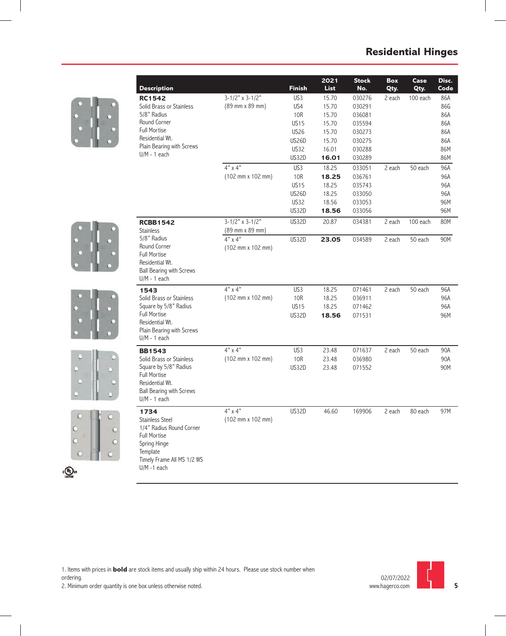









| Description                                                                                                                                                   |                                                             | Finish       | 2022<br>List | <b>Stock</b><br><b>No.</b> | Box<br>Cty | Case<br>Cty | Disc<br>Code |
|---------------------------------------------------------------------------------------------------------------------------------------------------------------|-------------------------------------------------------------|--------------|--------------|----------------------------|------------|-------------|--------------|
| <b>RC1542</b>                                                                                                                                                 | $3-1/2"$ x 3-1/2"                                           | US3          | 15.70        | 030276                     | 2 each     | 100 each    | 86A          |
| Solid Brass or Stainless                                                                                                                                      | (89 mm x 89 mm)                                             | US4          | 15.70        | 030291                     |            |             | 86G          |
| 5/8" Radius                                                                                                                                                   |                                                             | <b>10R</b>   | 15.70        | 036081                     |            |             | 86A          |
| Round Corner                                                                                                                                                  |                                                             | <b>US15</b>  | 15.70        | 035594                     |            |             | 86A          |
| <b>Full Mortise</b>                                                                                                                                           |                                                             | <b>US26</b>  | 15.70        | 030273                     |            |             | 86A          |
| Residential Wt.                                                                                                                                               |                                                             | <b>US26D</b> | 15.70        | 030275                     |            |             | 86A          |
| Plain Bearing with Screws<br>$U/M - 1$ each                                                                                                                   |                                                             | <b>US32</b>  | 16.01        | 030288                     |            |             | 86M          |
|                                                                                                                                                               |                                                             | US32D        | 16.01        | 030289                     |            |             | 86M          |
|                                                                                                                                                               | $4" \times 4"$                                              | US3          | 18.25        | 033051                     | 2 each     | 50 each     | 96A          |
|                                                                                                                                                               | (102 mm x 102 mm)                                           | <b>10R</b>   | 18.25        | 036761                     |            |             | 96A          |
|                                                                                                                                                               |                                                             | <b>US15</b>  | 18.25        | 035743                     |            |             | 96A          |
|                                                                                                                                                               |                                                             | <b>US26D</b> | 18.25        | 033050                     |            |             | 96A          |
|                                                                                                                                                               |                                                             | <b>US32</b>  | 18.56        | 033053                     |            |             | 96M          |
|                                                                                                                                                               |                                                             | US32D        | 18.56        | 033056                     |            |             | 96M          |
| <b>RCBB1542</b><br><b>Stainless</b>                                                                                                                           | $3-1/2"$ x 3-1/2"<br>(89 mm x 89 mm)                        | <b>US32D</b> | 20.87        | 034381                     | 2 each     | 100 each    | 80M          |
| 5/8" Radius<br>Round Corner<br><b>Full Mortise</b><br>Residential Wt.<br><b>Ball Bearing with Screws</b><br>$U/M - 1$ each                                    | $4"$ x $4"$<br>$(102 \, \text{mm} \times 102 \, \text{mm})$ | US32D        | 23.05        | 034589                     | 2 each     | 50 each     | 90M          |
| 1543                                                                                                                                                          | $4"$ x $4"$                                                 | US3          | 18.25        | 071461                     | 2 each     | 50 each     | 96A          |
| Solid Brass or Stainless                                                                                                                                      | $(102 \, \text{mm} \times 102 \, \text{mm})$                | 10R          | 18.25        | 036911                     |            |             | 96A          |
| Square by 5/8" Radius                                                                                                                                         |                                                             | <b>US15</b>  | 18.25        | 071462                     |            |             | 96A          |
| <b>Full Mortise</b><br>Residential Wt.<br>Plain Bearing with Screws<br>$U/M - 1$ each                                                                         |                                                             | US32D        | 18.56        | 071531                     |            |             | 96M          |
| <b>BB1543</b>                                                                                                                                                 | $4" \times 4"$                                              | US3          | 23.48        | 071637                     | 2 each     | 50 each     | 90A          |
| Solid Brass or Stainless                                                                                                                                      | (102 mm x 102 mm)                                           | <b>10R</b>   | 23.48        | 036980                     |            |             | 90A          |
| Square by 5/8" Radius<br><b>Full Mortise</b><br>Residential Wt.<br><b>Ball Bearing with Screws</b><br>$U/M - 1$ each                                          |                                                             | <b>US32D</b> | 23.48        | 071552                     |            |             | 90M          |
| 1734<br><b>Stainless Steel</b><br>1/4" Radius Round Corner<br><b>Full Mortise</b><br>Spring Hinge<br>Template<br>Timely Frame All MS 1/2 WS<br>$U/M - 1$ each | 4" x 4"<br>(102 mm x 102 mm)                                | <b>US32D</b> | 46.60        | 169906                     | 2 each     | 80 each     | 97M          |

1. Items with prices in **bold** are stock items and usually ship within 24 hours. Please use stock number when

ordering.

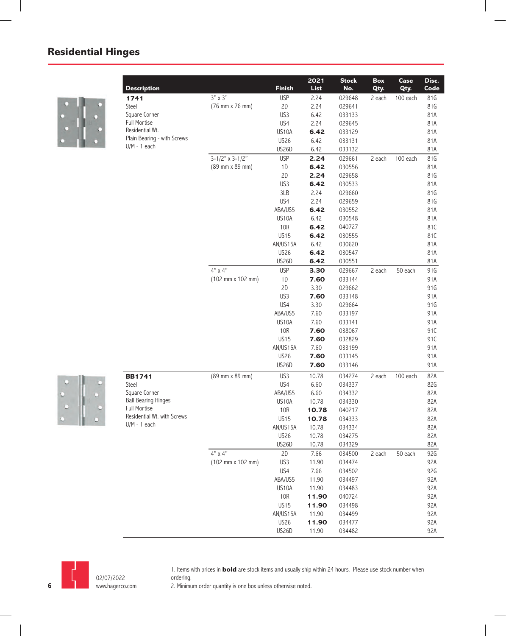

| <b>Description</b>          |                                              | <b>Finish</b>    | 2022<br>List | <b>Stock</b><br>No. | Box<br>Qty. | Case<br>Qty. | Disc.<br>Code |
|-----------------------------|----------------------------------------------|------------------|--------------|---------------------|-------------|--------------|---------------|
|                             | $3" \times 3"$                               | <b>USP</b>       | 2.24         | 029648              | 2 each      | 100 each     | 81G           |
| 1741<br>Steel               | (76 mm x 76 mm)                              | 2D               | 2.24         | 029641              |             |              | 81G           |
| Square Corner               |                                              | US3              | 6.42         | 033133              |             |              | 81A           |
| <b>Full Mortise</b>         |                                              | US4              | 2.24         | 029645              |             |              | 81A           |
| Residential Wt.             |                                              | US10A            | 6.42         | 033129              |             |              | 81A           |
| Plain Bearing - with Screws |                                              | <b>US26</b>      | 6.42         | 033131              |             |              | 81A           |
| $U/M - 1$ each              |                                              | <b>US26D</b>     | 6.42         | 033132              |             |              | 81A           |
|                             | $3-1/2"$ x 3-1/2"                            | <b>USP</b>       | 2.24         | 029661              | 2 each      | 100 each     | 81G           |
|                             | (89 mm x 89 mm)                              | 1D               | 6.42         | 030556              |             |              | 81A           |
|                             |                                              | 2D               | 2.24         | 029658              |             |              | 81G           |
|                             |                                              | US3              | 6.42         | 030533              |             |              | 81A           |
|                             |                                              | 3LB              | 2.24         | 029660              |             |              | 81G           |
|                             |                                              | US4              | 2.24         | 029659              |             |              | 81G           |
|                             |                                              | ABA/US5          | 6.42         | 030552              |             |              | 81A           |
|                             |                                              | US10A            | 6.42         | 030548              |             |              | 81A           |
|                             |                                              | 10R              | 6.42         | 040727              |             |              | 81C           |
|                             |                                              | <b>US15</b>      | 6.42         | 030555              |             |              | 81C           |
|                             |                                              | AN/US15A         | 6.42         | 030620              |             |              | 81A           |
|                             |                                              | <b>US26</b>      | 6.42         | 030547              |             |              | 81A           |
|                             |                                              | US26D            | 6.42         | 030551              |             |              | 81A           |
|                             | $4"$ x $4"$                                  | <b>USP</b>       | 3.30         | 029667              | 2 each      | 50 each      | 91G           |
|                             | (102 mm x 102 mm)                            | 1D               | 7.60         | 033144              |             |              | 91A           |
|                             |                                              | 2D               | 3.30         | 029662              |             |              | 91G           |
|                             |                                              | US3              | 7.60         | 033148              |             |              | 91A           |
|                             |                                              | US4              | 3.30         | 029664              |             |              | 91G           |
|                             |                                              | ABA/US5          | 7.60         | 033197              |             |              | 91A           |
|                             |                                              | US10A            | 7.60         | 033141              |             |              | 91A           |
|                             |                                              | <b>10R</b>       | 7.60         | 038067              |             |              | 91C           |
|                             |                                              | <b>US15</b>      | 7.60         | 032829              |             |              | 91C           |
|                             |                                              | AN/US15A         | 7.60         | 033199              |             |              | 91A           |
|                             |                                              | <b>US26</b>      | 7.60         | 033145              |             |              | 91A           |
|                             |                                              | US26D            | 7.60         | 033146              |             |              | 91A           |
| <b>BB1741</b>               | (89 mm x 89 mm)                              | US3              | 10.78        | 034274              | 2 each      | 100 each     | 82A           |
| Steel                       |                                              | US4              | 6.60         | 034337              |             |              | 82G           |
| Square Corner               |                                              | ABA/US5          | 6.60         | 034332              |             |              | 82A           |
| <b>Ball Bearing Hinges</b>  |                                              | US10A            | 10.78        | 034330              |             |              | 82A           |
| <b>Full Mortise</b>         |                                              | <b>10R</b>       | 10.78        | 040217              |             |              | 82A           |
| Residential Wt. with Screws |                                              | <b>US15</b>      | 10.78        | 034333              |             |              | 82A           |
| $U/M - 1$ each              |                                              | AN/US15A         | 10.78        | 034334              |             |              | 82A           |
|                             |                                              | <b>US26</b>      | 10.78        | 034275              |             |              | 82A           |
|                             |                                              | US26D            | 10.78        | 034329              |             |              | 82A           |
|                             | $4"$ x $4"$                                  | 2D               | 7.66         | 034500              | 2 each      | 50 each      | 92G           |
|                             | $(102 \, \text{mm} \times 102 \, \text{mm})$ | US3              | 11.90        | 034474              |             |              | 92A           |
|                             |                                              | US4              | 7.66         | 034502              |             |              | 92G           |
|                             |                                              | ABA/US5          | 11.90        | 034497              |             |              | 92A           |
|                             |                                              | US10A            | 11.90        | 034483              |             |              | 92A           |
|                             |                                              | 10R              | 11.90        | 040724              |             |              | 92A           |
|                             |                                              | US <sub>15</sub> | 11.90        | 034498              |             |              | 92A           |
|                             |                                              | AN/US15A         | 11.90        | 034499              |             |              | 92A           |
|                             |                                              | <b>US26</b>      | 11.90        | 034477              |             |              | 92A           |
|                             |                                              | US26D            | 11.90        | 034482              |             |              | 92A           |



1. Items with prices in **bold** are stock items and usually ship within 24 hours. Please use stock number when ordering.

05/01/2022 www.hagerco.com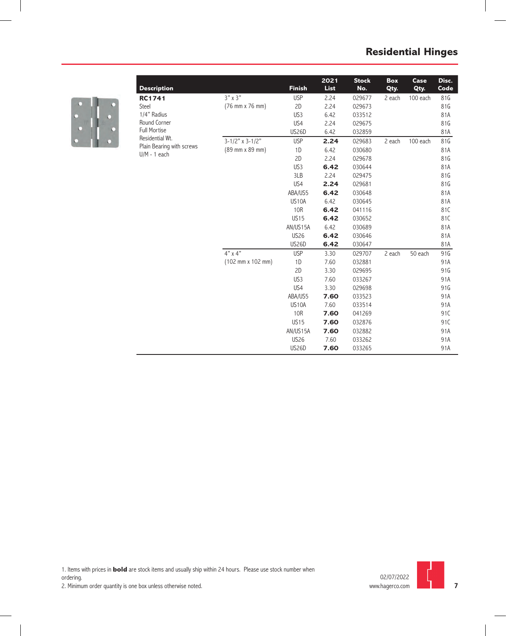

| <b>Description</b>        |                   | <b>Finish</b>   | 2022<br>List | <b>Stock</b><br>No. | <b>Box</b><br>Qty. | Case<br>Qty. | Disc.<br>Code |
|---------------------------|-------------------|-----------------|--------------|---------------------|--------------------|--------------|---------------|
| <b>RC1741</b>             | $3" \times 3"$    | <b>USP</b>      | 2.24         | 029677              | 2 each             | 100 each     | 81G           |
| Steel                     | (76 mm x 76 mm)   | 2D              | 2.24         | 029673              |                    |              | 81G           |
| 1/4" Radius               |                   | US3             | 6.42         | 033512              |                    |              | 81A           |
| Round Corner              |                   | US4             | 2.24         | 029675              |                    |              | 81G           |
| <b>Full Mortise</b>       |                   | <b>US26D</b>    | 6.42         | 032859              |                    |              | 81A           |
| Residential Wt.           | $3-1/2"$ x 3-1/2" | <b>USP</b>      | 2.24         | 029683              | 2 each             | 100 each     | 81G           |
| Plain Bearing with screws | (89 mm x 89 mm)   | 1D              | 6.42         | 030680              |                    |              | 81A           |
| $U/M - 1$ each            |                   | 2D              | 2.24         | 029678              |                    |              | 81G           |
|                           |                   | US3             | 6.42         | 030644              |                    |              | 81A           |
|                           |                   | 3LB             | 2.24         | 029475              |                    |              | 81G           |
|                           |                   | US4             | 2.24         | 029681              |                    |              | 81G           |
|                           |                   | ABA/US5         | 6.42         | 030648              |                    |              | 81A           |
|                           |                   | <b>US10A</b>    | 6.42         | 030645              |                    |              | 81A           |
|                           |                   | 10R             | 6.42         | 041116              |                    |              | 81C           |
|                           |                   | <b>US15</b>     | 6.42         | 030652              |                    |              | 81C           |
|                           |                   | AN/US15A        | 6.42         | 030689              |                    |              | 81A           |
|                           |                   | <b>US26</b>     | 6.42         | 030646              |                    |              | 81A           |
|                           |                   | <b>US26D</b>    | 6.42         | 030647              |                    |              | 81A           |
|                           | $4"$ x $4"$       | <b>USP</b>      | 3.30         | 029707              | 2 each             | 50 each      | 91G           |
|                           | (102 mm x 102 mm) | 1D              | 7.60         | 032881              |                    |              | 91A           |
|                           |                   | 2D              | 3.30         | 029695              |                    |              | 91G           |
|                           |                   | US <sub>3</sub> | 7.60         | 033267              |                    |              | 91A           |
|                           |                   | US4             | 3.30         | 029698              |                    |              | 91G           |
|                           |                   | ABA/US5         | 7.60         | 033523              |                    |              | 91A           |
|                           |                   | <b>US10A</b>    | 7.60         | 033514              |                    |              | 91A           |
|                           |                   | 10R             | 7.60         | 041269              |                    |              | 91C           |
|                           |                   | <b>US15</b>     | 7.60         | 032876              |                    |              | 91C           |
|                           |                   | AN/US15A        | 7.60         | 032882              |                    |              | 91A           |
|                           |                   | <b>US26</b>     | 7.60         | 033262              |                    |              | 91A           |
|                           |                   | <b>US26D</b>    | 7.60         | 033265              |                    |              | 91A           |

1. Items with prices in **bold** are stock items and usually ship within 24 hours. Please use stock number when ordering.



**7**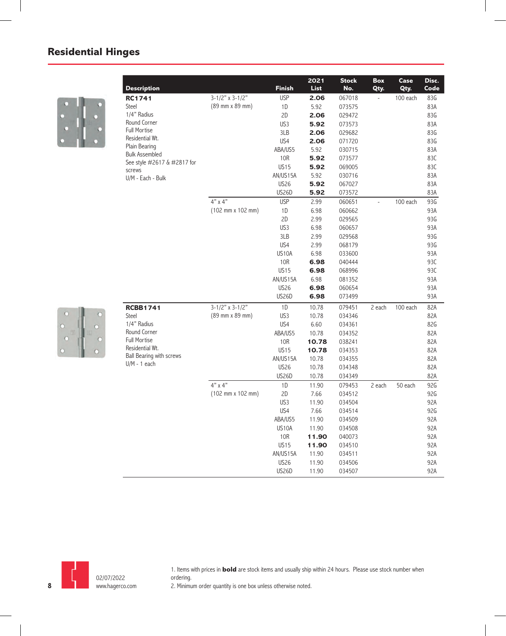

| <b>Description</b>                                                                                                                                                                                     |                                              | <b>Finish</b> | 2022<br><b>List</b> | <b>Stock</b><br>No. | Box<br>Qty. | Case<br>Qty. | Disc.<br>Code |
|--------------------------------------------------------------------------------------------------------------------------------------------------------------------------------------------------------|----------------------------------------------|---------------|---------------------|---------------------|-------------|--------------|---------------|
| RC1741                                                                                                                                                                                                 | $3-1/2"$ x 3-1/2"                            | <b>USP</b>    | 2.06                | 067018              |             | 100 each     | 83G           |
| Steel                                                                                                                                                                                                  | (89 mm x 89 mm)                              | 1D            | 5.92                | 073575              |             |              | 83A           |
| 1/4" Radius                                                                                                                                                                                            |                                              | 2D            | 2.06                | 029472              |             |              | 83G           |
|                                                                                                                                                                                                        |                                              | US3           | 5.92                | 073573              |             |              | 83A           |
| Full Mortise                                                                                                                                                                                           |                                              | 3LB           | 2.06                | 029682              |             |              | 83G           |
|                                                                                                                                                                                                        |                                              | US4           | 2.06                | 071720              |             |              | 83G           |
|                                                                                                                                                                                                        |                                              | ABA/US5       | 5.92                | 030715              |             |              | 83A           |
|                                                                                                                                                                                                        |                                              | 10R           | 5.92                | 073577              |             |              | 83C           |
|                                                                                                                                                                                                        |                                              | <b>US15</b>   | 5.92                | 069005              |             |              | 83C           |
|                                                                                                                                                                                                        |                                              | AN/US15A      | 5.92                | 030716              |             |              | 83A           |
|                                                                                                                                                                                                        |                                              | <b>US26</b>   | 5.92                | 067027              |             |              | 83A           |
|                                                                                                                                                                                                        |                                              | US26D         | 5.92                | 073572              |             |              | 83A           |
|                                                                                                                                                                                                        | $4" \times 4"$                               | <b>USP</b>    | 2.99                | 060651              |             | 100 each     | 93G           |
|                                                                                                                                                                                                        | (102 mm x 102 mm)                            | 1D            | 6.98                | 060662              |             |              | 93A           |
|                                                                                                                                                                                                        |                                              | 2D            | 2.99                | 029565              |             |              | 93G           |
|                                                                                                                                                                                                        |                                              | US3           | 6.98                | 060657              |             |              | 93A           |
|                                                                                                                                                                                                        |                                              | 3LB           | 2.99                | 029568              |             |              | 93G           |
|                                                                                                                                                                                                        |                                              | US4           | 2.99                | 068179              |             |              | 93G           |
|                                                                                                                                                                                                        |                                              | US10A         | 6.98                | 033600              |             |              | 93A           |
|                                                                                                                                                                                                        |                                              | 10R           | 6.98                | 040444              |             |              | 93C           |
| Round Corner<br>Residential Wt.<br>Plain Bearing<br><b>Bulk Assembled</b><br>See style #2617 & #2817 for<br>screws<br>U/M - Each - Bulk<br>Residential Wt.<br>Ball Bearing with screws<br>U/M - 1 each |                                              | <b>US15</b>   | 6.98                | 068996              |             |              | 93C           |
|                                                                                                                                                                                                        |                                              | AN/US15A      | 6.98                | 081352              |             |              | 93A           |
|                                                                                                                                                                                                        |                                              | <b>US26</b>   | 6.98                | 060654              |             |              | 93A           |
|                                                                                                                                                                                                        |                                              | <b>US26D</b>  | 6.98                | 073499              |             |              | 93A           |
| <b>RCBB1741</b>                                                                                                                                                                                        | $3-1/2"$ x 3-1/2"                            | 1D            | 10.78               | 079451              | 2 each      | 100 each     | 82A           |
| Steel                                                                                                                                                                                                  | (89 mm x 89 mm)                              | US3           | 10.78               | 034346              |             |              | 82A           |
| 1/4" Radius                                                                                                                                                                                            |                                              | US4           | 6.60                | 034361              |             |              | 82G           |
| Round Corner                                                                                                                                                                                           |                                              | ABA/US5       | 10.78               | 034352              |             |              | 82A           |
| Full Mortise                                                                                                                                                                                           |                                              | 10R           | 10.78               | 038241              |             |              | 82A           |
|                                                                                                                                                                                                        |                                              | <b>US15</b>   | 10.78               | 034353              |             |              | 82A           |
|                                                                                                                                                                                                        |                                              | AN/US15A      | 10.78               | 034355              |             |              | 82A           |
|                                                                                                                                                                                                        |                                              | <b>US26</b>   | 10.78               | 034348              |             |              | 82A           |
|                                                                                                                                                                                                        |                                              | US26D         | 10.78               | 034349              |             |              | 82A           |
|                                                                                                                                                                                                        | $4" \times 4"$                               | 1D            | 11.90               | 079453              | 2 each      | 50 each      | 92G           |
|                                                                                                                                                                                                        | $(102 \, \text{mm} \times 102 \, \text{mm})$ | 2D            | 7.66                | 034512              |             |              | 92G           |
|                                                                                                                                                                                                        |                                              | US3           | 11.90               | 034504              |             |              | 92A           |
|                                                                                                                                                                                                        |                                              | US4           | 7.66                | 034514              |             |              | 92G           |
|                                                                                                                                                                                                        |                                              | ABA/US5       | 11.90               | 034509              |             |              | 92A           |
|                                                                                                                                                                                                        |                                              | US10A         | 11.90               | 034508              |             |              | 92A           |
|                                                                                                                                                                                                        |                                              | 10R           | 11.90               | 040073              |             |              | 92A           |
|                                                                                                                                                                                                        |                                              | <b>US15</b>   | 11.90               | 034510              |             |              | 92A           |
|                                                                                                                                                                                                        |                                              | AN/US15A      | 11.90               | 034511              |             |              | 92A           |
|                                                                                                                                                                                                        |                                              | <b>US26</b>   | 11.90               | 034506              |             |              | 92A           |
|                                                                                                                                                                                                        |                                              | <b>US26D</b>  | 11.90               | 034507              |             |              | 92A           |





1. Items with prices in **bold** are stock items and usually ship within 24 hours. Please use stock number when ordering.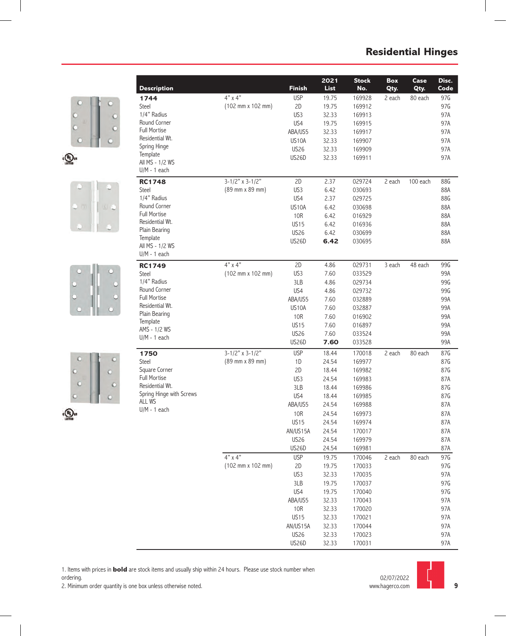







|                                        |                                              |                             | 2022           | <b>Stock</b>     | Box    | Case     | Disc.      |
|----------------------------------------|----------------------------------------------|-----------------------------|----------------|------------------|--------|----------|------------|
| <b>Description</b>                     |                                              | <b>Finish</b>               | <b>List</b>    | No.              | Qty.   | Qty.     | Code       |
| 1744                                   | $4"$ x $4"$                                  | <b>USP</b>                  | 19.75          | 169928           | 2 each | 80 each  | 97G        |
| Steel<br>1/4" Radius                   | (102 mm x 102 mm)                            | 2D                          | 19.75          | 169912           |        |          | 97G        |
| Round Corner                           |                                              | US3<br>US4                  | 32.33          | 169913           |        |          | 97A        |
| <b>Full Mortise</b>                    |                                              |                             | 19.75          | 169915           |        |          | 97A        |
| Residential Wt.                        |                                              | ABA/US5<br>US10A            | 32.33          | 169917           |        |          | 97A<br>97A |
| Spring Hinge                           |                                              | <b>US26</b>                 | 32.33<br>32.33 | 169907<br>169909 |        |          | 97A        |
| Template                               |                                              | <b>US26D</b>                | 32.33          | 169911           |        |          | 97A        |
| All MS - 1/2 WS                        |                                              |                             |                |                  |        |          |            |
| $U/M - 1$ each                         |                                              |                             |                |                  |        |          |            |
| <b>RC1748</b>                          | $3-1/2"$ x 3-1/2"                            | 2D                          | 2.37           | 029724           | 2 each | 100 each | 88G        |
| <b>Steel</b>                           | (89 mm x 89 mm)                              | US3                         | 6.42           | 030693           |        |          | 88A        |
| 1/4" Radius                            |                                              | US4                         | 2.37           | 029725           |        |          | 88G        |
| Round Corner                           |                                              | US <sub>10</sub> A          | 6.42           | 030698           |        |          | 88A        |
| <b>Full Mortise</b>                    |                                              | <b>10R</b>                  | 6.42           | 016929           |        |          | 88A        |
| Residential Wt.                        |                                              | <b>US15</b>                 | 6.42           | 016936           |        |          | 88A        |
| Plain Bearing<br>Template              |                                              | <b>US26</b>                 | 6.42           | 030699           |        |          | 88A        |
| All MS - 1/2 WS                        |                                              | <b>US26D</b>                | 6.42           | 030695           |        |          | 88A        |
| $U/M - 1$ each                         |                                              |                             |                |                  |        |          |            |
| <b>RC1749</b>                          | $4" \times 4"$                               | 2D                          | 4.86           | 029731           | 3 each | 48 each  | 99G        |
| Steel                                  | $(102 \, \text{mm} \times 102 \, \text{mm})$ | US3                         | 7.60           | 033529           |        |          | 99A        |
| 1/4" Radius                            |                                              | 3LB                         | 4.86           | 029734           |        |          | 99G        |
| Round Corner                           |                                              | US4                         | 4.86           | 029732           |        |          | 99G        |
| <b>Full Mortise</b>                    |                                              | ABA/US5                     | 7.60           | 032889           |        |          | 99A        |
| Residential Wt.                        |                                              | US10A                       | 7.60           | 032887           |        |          | 99A        |
| Plain Bearing                          |                                              | 10 <sub>R</sub>             | 7.60           | 016902           |        |          | 99A        |
| Template<br>AMS - 1/2 WS               |                                              | <b>US15</b>                 | 7.60           | 016897           |        |          | 99A        |
| $U/M - 1$ each                         |                                              | <b>US26</b>                 | 7.60           | 033524           |        |          | 99A        |
|                                        |                                              | <b>US26D</b>                | 7.60           | 033528           |        |          | 99A        |
| 1750                                   | $3-1/2"$ x 3-1/2"                            | <b>USP</b>                  | 18.44          | 170018           | 2 each | 80 each  | 87G        |
| <b>Steel</b>                           | (89 mm x 89 mm)                              | 1D                          | 24.54          | 169977           |        |          | 87G        |
| Square Corner                          |                                              | 2D                          | 18.44          | 169982           |        |          | 87G        |
| <b>Full Mortise</b><br>Residential Wt. |                                              | US3                         | 24.54          | 169983           |        |          | 87A        |
| Spring Hinge with Screws               |                                              | 3LB                         | 18.44          | 169986           |        |          | 87G        |
| <b>ALL WS</b>                          |                                              | US4                         | 18.44          | 169985           |        |          | 87G        |
| $U/M - 1$ each                         |                                              | ABA/US5                     | 24.54          | 169988           |        |          | 87A        |
|                                        |                                              | <b>10R</b>                  | 24.54          | 169973           |        |          | 87A        |
|                                        |                                              | <b>US15</b>                 | 24.54          | 169974           |        |          | 87A        |
|                                        |                                              | AN/US15A                    | 24.54          | 170017           |        |          | 87A        |
|                                        |                                              | <b>US26</b>                 | 24.54          | 169979           |        |          | 87A        |
|                                        |                                              | US26D                       | 24.54          | 169981           |        |          | 87A        |
|                                        | $4"$ x $4"$                                  | <b>USP</b>                  | 19.75          | 170046           | 2 each | 80 each  | 97G        |
|                                        | $(102 \, \text{mm} \times 102 \, \text{mm})$ | 2D                          | 19.75          | 170033           |        |          | 97G        |
|                                        |                                              | US3                         | 32.33          | 170035           |        |          | 97A        |
|                                        |                                              | 3LB                         | 19.75          | 170037           |        |          | 97G        |
|                                        |                                              | US4                         | 19.75          | 170040           |        |          | 97G        |
|                                        |                                              | ABA/US5                     | 32.33          | 170043           |        |          | 97A        |
|                                        |                                              | <b>10R</b>                  | 32.33          | 170020           |        |          | 97A        |
|                                        |                                              | <b>US15</b>                 | 32.33          | 170021           |        |          | 97A        |
|                                        |                                              | AN/US15A                    | 32.33          | 170044           |        |          | 97A        |
|                                        |                                              | <b>US26</b><br><b>US26D</b> | 32.33<br>32.33 | 170023<br>170031 |        |          | 97A<br>97A |
|                                        |                                              |                             |                |                  |        |          |            |

1. Items with prices in **bold** are stock items and usually ship within 24 hours. Please use stock number when

ordering.



**9**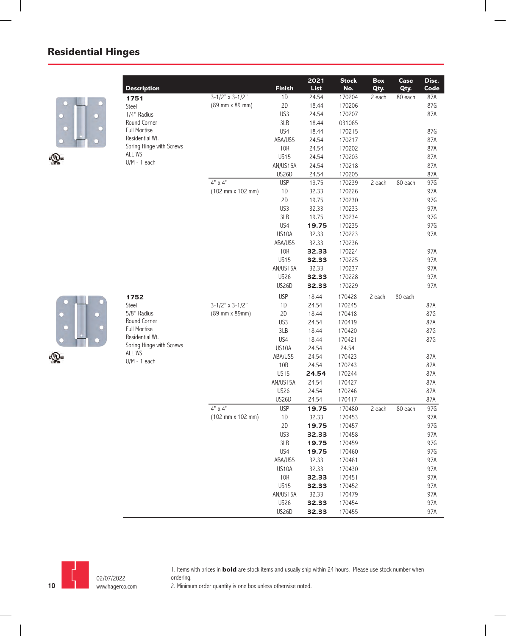

|                                        |                                              |               | 2022  | <b>Stock</b> | Box    | Case    | Disc. |
|----------------------------------------|----------------------------------------------|---------------|-------|--------------|--------|---------|-------|
| <b>Description</b>                     |                                              | <b>Finish</b> | List  | No.          | Qty.   | Qty.    | Code  |
| 1751                                   | $3-1/2"$ x 3-1/2"                            | 1D            | 24.54 | 170204       | 2 each | 80 each | 87A   |
| Steel                                  | (89 mm x 89 mm)                              | 2D            | 18.44 | 170206       |        |         | 87G   |
| 1/4" Radius                            |                                              | US3           | 24.54 | 170207       |        |         | 87A   |
| Round Corner                           |                                              | 3LB           | 18.44 | 031065       |        |         |       |
| <b>Full Mortise</b><br>Residential Wt. |                                              | US4           | 18.44 | 170215       |        |         | 87G   |
| Spring Hinge with Screws               |                                              | ABA/US5       | 24.54 | 170217       |        |         | 87A   |
| ALL WS                                 |                                              | <b>10R</b>    | 24.54 | 170202       |        |         | 87A   |
| $U/M - 1$ each                         |                                              | <b>US15</b>   | 24.54 | 170203       |        |         | 87A   |
|                                        |                                              | AN/US15A      | 24.54 | 170218       |        |         | 87A   |
|                                        |                                              | US26D         | 24.54 | 170205       |        |         | 87A   |
|                                        | $4" \times 4"$                               | <b>USP</b>    | 19.75 | 170239       | 2 each | 80 each | 97G   |
|                                        | $(102 \, \text{mm} \times 102 \, \text{mm})$ | 1D            | 32.33 | 170226       |        |         | 97A   |
|                                        |                                              | 2D            | 19.75 | 170230       |        |         | 97G   |
|                                        |                                              | US3           | 32.33 | 170233       |        |         | 97A   |
|                                        |                                              | 3LB           | 19.75 | 170234       |        |         | 97G   |
|                                        |                                              | US4           | 19.75 | 170235       |        |         | 97G   |
|                                        |                                              | US10A         | 32.33 | 170223       |        |         | 97A   |
|                                        |                                              | ABA/US5       | 32.33 | 170236       |        |         |       |
|                                        |                                              | 10R           | 32.33 | 170224       |        |         | 97A   |
|                                        |                                              | <b>US15</b>   | 32.33 | 170225       |        |         | 97A   |
|                                        |                                              | AN/US15A      | 32.33 | 170237       |        |         | 97A   |
|                                        |                                              | <b>US26</b>   | 32.33 | 170228       |        |         | 97A   |
|                                        |                                              | <b>US26D</b>  | 32.33 | 170229       |        |         | 97A   |
| 1752                                   |                                              | <b>USP</b>    | 18.44 | 170428       | 2 each | 80 each |       |
| <b>Steel</b>                           | $3-1/2"$ x 3-1/2"                            | 1D            | 24.54 | 170245       |        |         | 87A   |
| 5/8" Radius                            | (89 mm x 89mm)                               | 2D            | 18.44 | 170418       |        |         | 87G   |
| Round Corner                           |                                              | US3           | 24.54 | 170419       |        |         | 87A   |
| <b>Full Mortise</b>                    |                                              | 3LB           | 18.44 | 170420       |        |         | 87G   |
| Residential Wt.                        |                                              | US4           | 18.44 | 170421       |        |         | 87G   |
| Spring Hinge with Screws<br>ALL WS     |                                              | US10A         | 24.54 | 24.54        |        |         |       |
| $U/M - 1$ each                         |                                              | ABA/US5       | 24.54 | 170423       |        |         | 87A   |
|                                        |                                              | <b>10R</b>    | 24.54 | 170243       |        |         | 87A   |
|                                        |                                              | <b>US15</b>   | 24.54 | 170244       |        |         | 87A   |
|                                        |                                              | AN/US15A      | 24.54 | 170427       |        |         | 87A   |
|                                        |                                              | <b>US26</b>   | 24.54 | 170246       |        |         | 87A   |
|                                        |                                              | <b>US26D</b>  | 24.54 | 170417       |        |         | 87A   |
|                                        | $4"$ x $4"$                                  | <b>USP</b>    | 19.75 | 170480       | 2 each | 80 each | 97G   |
|                                        | (102 mm x 102 mm)                            | 1D            | 32.33 | 170453       |        |         | 97A   |
|                                        |                                              | 2D            | 19.75 | 170457       |        |         | 97G   |
|                                        |                                              | US3           | 32.33 | 170458       |        |         | 97A   |
|                                        |                                              | 3LB           | 19.75 | 170459       |        |         | 97G   |
|                                        |                                              | US4           | 19.75 | 170460       |        |         | 97G   |
|                                        |                                              | ABA/US5       | 32.33 | 170461       |        |         | 97A   |
|                                        |                                              | US10A         | 32.33 | 170430       |        |         | 97A   |
|                                        |                                              | 10R           | 32.33 | 170451       |        |         | 97A   |
|                                        |                                              | <b>US15</b>   | 32.33 | 170452       |        |         | 97A   |
|                                        |                                              | AN/US15A      | 32.33 | 170479       |        |         | 97A   |
|                                        |                                              | <b>US26</b>   | 32.33 | 170454       |        |         | 97A   |
|                                        |                                              | <b>US26D</b>  | 32.33 | 170455       |        |         | 97A   |
|                                        |                                              |               |       |              |        |         |       |





1. Items with prices in **bold** are stock items and usually ship within 24 hours. Please use stock number when ordering.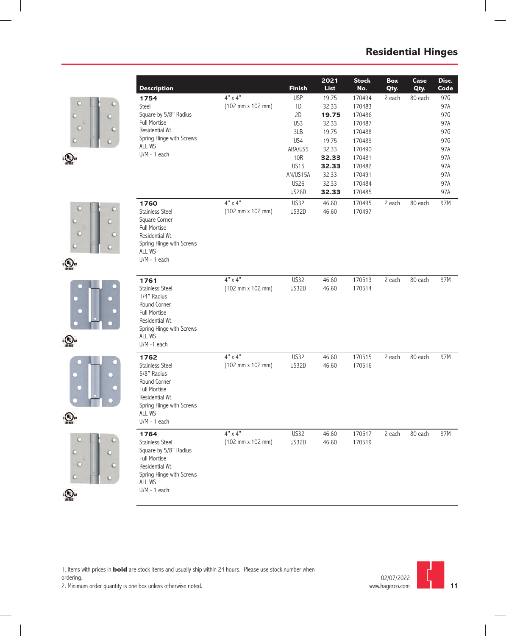









 $\epsilon$ <sup>(U<sub>L</sub>) us</sub></sup>

|                                              |                                              |                         | 2022           | <b>Stock</b>     | Box    | Case    | Disc.      |
|----------------------------------------------|----------------------------------------------|-------------------------|----------------|------------------|--------|---------|------------|
| <b>Description</b>                           |                                              | <b>Finish</b>           | <b>List</b>    | No.              | Qty.   | Qty.    | Code       |
| 1754                                         | $4"$ x $4"$                                  | <b>USP</b>              | 19.75          | 170494           | 2 each | 80 each | 97G        |
| Steel                                        | $(102 \, \text{mm} \times 102 \, \text{mm})$ | 1D                      | 32.33          | 170483           |        |         | 97A        |
| Square by 5/8" Radius<br><b>Full Mortise</b> |                                              | 2D                      | 19.75          | 170486           |        |         | 97G        |
| Residential Wt.                              |                                              | US3                     | 32.33          | 170487           |        |         | 97A        |
| Spring Hinge with Screws                     |                                              | 3LB                     | 19.75          | 170488           |        |         | 97G        |
| <b>ALL WS</b>                                |                                              | US4                     | 19.75          | 170489           |        |         | 97G        |
| $U/M - 1$ each                               |                                              | ABA/US5                 | 32.33          | 170490           |        |         | 97A        |
|                                              |                                              | 10R                     | 32.33          | 170481<br>170482 |        |         | 97A        |
|                                              |                                              | <b>US15</b><br>AN/US15A | 32.33<br>32.33 | 170491           |        |         | 97A<br>97A |
|                                              |                                              | <b>US26</b>             | 32.33          | 170484           |        |         | 97A        |
|                                              |                                              | <b>US26D</b>            | 32.33          | 170485           |        |         | 97A        |
| 1760                                         | $4"$ x $4"$                                  | <b>US32</b>             | 46.60          | 170495           | 2 each | 80 each | 97M        |
| <b>Stainless Steel</b>                       | (102 mm x 102 mm)                            | US32D                   | 46.60          | 170497           |        |         |            |
| Square Corner                                |                                              |                         |                |                  |        |         |            |
| <b>Full Mortise</b>                          |                                              |                         |                |                  |        |         |            |
| Residential Wt.                              |                                              |                         |                |                  |        |         |            |
| Spring Hinge with Screws                     |                                              |                         |                |                  |        |         |            |
| ALL WS                                       |                                              |                         |                |                  |        |         |            |
| $U/M - 1$ each                               |                                              |                         |                |                  |        |         |            |
|                                              |                                              |                         |                |                  |        |         |            |
| 1761                                         | $4" \times 4"$                               | <b>US32</b>             | 46.60          | 170513           | 2 each | 80 each | 97M        |
| <b>Stainless Steel</b>                       | $(102 \, \text{mm} \times 102 \, \text{mm})$ | US32D                   | 46.60          | 170514           |        |         |            |
| 1/4" Radius                                  |                                              |                         |                |                  |        |         |            |
| Round Corner                                 |                                              |                         |                |                  |        |         |            |
| <b>Full Mortise</b><br>Residential Wt.       |                                              |                         |                |                  |        |         |            |
| Spring Hinge with Screws                     |                                              |                         |                |                  |        |         |            |
| <b>ALL WS</b>                                |                                              |                         |                |                  |        |         |            |
| $U/M - 1$ each                               |                                              |                         |                |                  |        |         |            |
| 1762                                         | $4"$ x $4"$                                  | <b>US32</b>             | 46.60          | 170515           | 2 each | 80 each | 97M        |
| <b>Stainless Steel</b>                       | $(102 \, \text{mm} \times 102 \, \text{mm})$ | US32D                   | 46.60          | 170516           |        |         |            |
| 5/8" Radius                                  |                                              |                         |                |                  |        |         |            |
| Round Corner                                 |                                              |                         |                |                  |        |         |            |
| <b>Full Mortise</b>                          |                                              |                         |                |                  |        |         |            |
| Residential Wt.                              |                                              |                         |                |                  |        |         |            |
| Spring Hinge with Screws                     |                                              |                         |                |                  |        |         |            |
| ALL WS                                       |                                              |                         |                |                  |        |         |            |
| $U/M - 1$ each                               |                                              |                         |                |                  |        |         |            |
| 1764                                         | $4" \times 4"$                               | US32                    | 46.60          | 170517           | 2 each | 80 each | 97M        |
| <b>Stainless Steel</b>                       | (102 mm x 102 mm)                            | US32D                   | 46.60          | 170519           |        |         |            |
| Square by 5/8" Radius                        |                                              |                         |                |                  |        |         |            |
| <b>Full Mortise</b><br>Residential Wt.       |                                              |                         |                |                  |        |         |            |
| Spring Hinge with Screws                     |                                              |                         |                |                  |        |         |            |
| ALL WS                                       |                                              |                         |                |                  |        |         |            |
| $U/M - 1$ each                               |                                              |                         |                |                  |        |         |            |

1. Items with prices in **bold** are stock items and usually ship within 24 hours. Please use stock number when ordering.

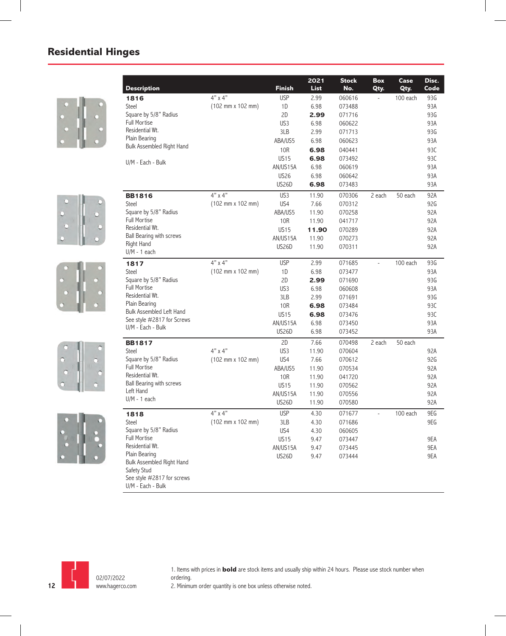









| <b>Description</b>                                                     |                                              | <b>Finish</b> | 2022<br><b>List</b> | <b>Stock</b><br>No. | <b>Box</b><br>Qty. | Case<br>Qty. | Disc.<br>Code |
|------------------------------------------------------------------------|----------------------------------------------|---------------|---------------------|---------------------|--------------------|--------------|---------------|
| 1816                                                                   | $4"$ x $4"$                                  | <b>USP</b>    | 2.99                | 060616              |                    | 100 each     | 93G           |
| <b>Steel</b>                                                           | $(102 \, \text{mm} \times 102 \, \text{mm})$ | 1D            | 6.98                | 073488              |                    |              | 93A           |
| Square by 5/8" Radius                                                  |                                              | 2D            | 2.99                | 071716              |                    |              | 93G           |
| <b>Full Mortise</b>                                                    |                                              | US3           | 6.98                | 060622              |                    |              | 93A           |
| Residential Wt.                                                        |                                              | 3LB           | 2.99                | 071713              |                    |              | 93G           |
| Plain Bearing                                                          |                                              | ABA/US5       | 6.98                | 060623              |                    |              | 93A           |
| Bulk Assembled Right Hand                                              |                                              | 10R           | 6.98                | 040441              |                    |              | 93C           |
|                                                                        |                                              | <b>US15</b>   | 6.98                | 073492              |                    |              | 93C           |
| U/M - Each - Bulk                                                      |                                              | AN/US15A      | 6.98                | 060619              |                    |              | 93A           |
|                                                                        |                                              | <b>US26</b>   | 6.98                | 060642              |                    |              | 93A           |
|                                                                        |                                              | <b>US26D</b>  | 6.98                | 073483              |                    |              | 93A           |
| <b>BB1816</b>                                                          | 4" x 4"                                      | US3           | 11.90               | 070306              | 2 each             | 50 each      | 92A           |
| Steel                                                                  | $(102 \, \text{mm} \times 102 \, \text{mm})$ | US4           | 7.66                | 070312              |                    |              | 92G           |
| Square by 5/8" Radius                                                  |                                              | ABA/US5       | 11.90               | 070258              |                    |              | 92A           |
| <b>Full Mortise</b>                                                    |                                              | 10R           | 11.90               | 041717              |                    |              | 92A           |
| Residential Wt.                                                        |                                              | <b>US15</b>   | 11.90               | 070289              |                    |              | 92A           |
| Ball Bearing with screws                                               |                                              | AN/US15A      | 11.90               | 070273              |                    |              | 92A           |
| Right Hand<br>$U/M - 1$ each                                           |                                              | <b>US26D</b>  | 11.90               | 070311              |                    |              | 92A           |
| 1817                                                                   | $4"$ x $4"$                                  | <b>USP</b>    | 2.99                | 071685              | $\overline{a}$     | 100 each     | 93G           |
| <b>Steel</b>                                                           | $(102 \, \text{mm} \times 102 \, \text{mm})$ | 1D            | 6.98                | 073477              |                    |              | 93A           |
| Square by 5/8" Radius                                                  |                                              | 2D            | 2.99                | 071690              |                    |              | 93G           |
| <b>Full Mortise</b>                                                    |                                              | US3           | 6.98                | 060608              |                    |              | 93A           |
| Residential Wt.                                                        |                                              | 3LB           | 2.99                | 071691              |                    |              | 93G           |
| Plain Bearing                                                          |                                              | <b>10R</b>    | 6.98                | 073484              |                    |              | 93C           |
| Bulk Assembled Left Hand                                               |                                              | <b>US15</b>   | 6.98                | 073476              |                    |              | 93C           |
| See style #2817 for Screws                                             |                                              | AN/US15A      | 6.98                | 073450              |                    |              | 93A           |
| U/M - Each - Bulk                                                      |                                              | <b>US26D</b>  | 6.98                | 073452              |                    |              | 93A           |
| <b>BB1817</b>                                                          |                                              | 2D            | 7.66                | 070498              | 2 each             | 50 each      |               |
| <b>Steel</b>                                                           | $4" \times 4"$                               | US3           | 11.90               | 070604              |                    |              | 92A           |
| Square by 5/8" Radius                                                  | $(102 \, \text{mm} \times 102 \, \text{mm})$ | US4           | 7.66                | 070612              |                    |              | 92G           |
| <b>Full Mortise</b>                                                    |                                              | ABA/US5       | 11.90               | 070534              |                    |              | 92A           |
| Residential Wt.                                                        |                                              | 10R           | 11.90               | 041720              |                    |              | 92A           |
| Ball Bearing with screws                                               |                                              | <b>US15</b>   | 11.90               | 070562              |                    |              | 92A           |
| Left Hand                                                              |                                              | AN/US15A      | 11.90               | 070556              |                    |              | 92A           |
| $U/M - 1$ each                                                         |                                              | <b>US26D</b>  | 11.90               | 070580              |                    |              | 92A           |
| 1818                                                                   | $4" \times 4"$                               | <b>USP</b>    | 4.30                | 071677              |                    | 100 each     | 9EG           |
| Steel                                                                  | (102 mm x 102 mm)                            | 3LB           | 4.30                | 071686              |                    |              | 9EG           |
| Square by 5/8" Radius                                                  |                                              | US4           | 4.30                | 060605              |                    |              |               |
| <b>Full Mortise</b>                                                    |                                              | <b>US15</b>   | 9.47                | 073447              |                    |              | 9EA           |
| Residential Wt.                                                        |                                              | AN/US15A      | 9.47                | 073445              |                    |              | 9EA           |
| Plain Bearing                                                          |                                              | <b>US26D</b>  | 9.47                | 073444              |                    |              | 9EA           |
| Bulk Assembled Right Hand<br>Safety Stud<br>See style #2817 for screws |                                              |               |                     |                     |                    |              |               |
| U/M - Each - Bulk                                                      |                                              |               |                     |                     |                    |              |               |



l,

1. Items with prices in **bold** are stock items and usually ship within 24 hours. Please use stock number when ordering.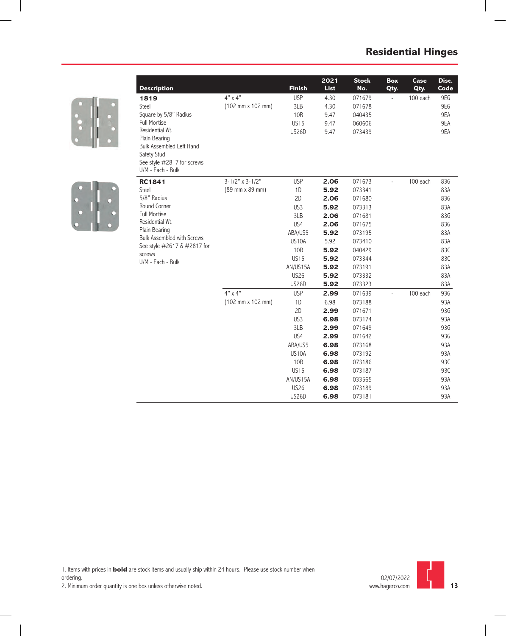



| <b>Description</b>                                 |                                              | <b>Finish</b>   | 2022<br><b>List</b> | <b>Stock</b><br>No. | Box<br>Qty.              | Case<br>Qty. | Disc.<br>Code |
|----------------------------------------------------|----------------------------------------------|-----------------|---------------------|---------------------|--------------------------|--------------|---------------|
| 1819                                               | $4"$ x $4"$                                  | <b>USP</b>      | 4.30                | 071679              | $\overline{\phantom{a}}$ | 100 each     | 9EG           |
| Steel                                              | (102 mm x 102 mm)                            | 3LB             | 4.30                | 071678              |                          |              | 9EG           |
| Square by 5/8" Radius                              |                                              | <b>10R</b>      | 9.47                | 040435              |                          |              | 9EA           |
| <b>Full Mortise</b>                                |                                              | <b>US15</b>     | 9.47                | 060606              |                          |              | 9EA           |
| Residential Wt.                                    |                                              | <b>US26D</b>    | 9.47                | 073439              |                          |              | 9EA           |
| Plain Bearing<br>Bulk Assembled Left Hand          |                                              |                 |                     |                     |                          |              |               |
| Safety Stud                                        |                                              |                 |                     |                     |                          |              |               |
| See style #2817 for screws                         |                                              |                 |                     |                     |                          |              |               |
| U/M - Each - Bulk                                  |                                              |                 |                     |                     |                          |              |               |
| <b>RC1841</b>                                      | $3-1/2"$ x 3-1/2"                            | <b>USP</b>      | 2.06                | 071673              | $\overline{a}$           | 100 each     | 83G           |
| Steel                                              | (89 mm x 89 mm)                              | 1D              | 5.92                | 073341              |                          |              | 83A           |
| 5/8" Radius                                        |                                              | 2D              | 2.06                | 071680              |                          |              | 83G           |
| Round Corner                                       |                                              | US3             | 5.92                | 073313              |                          |              | 83A           |
| <b>Full Mortise</b>                                |                                              | 3LB             | 2.06                | 071681              |                          |              | 83G           |
| Residential Wt.                                    |                                              | US4             | 2.06                | 071675              |                          |              | 83G           |
| Plain Bearing<br><b>Bulk Assembled with Screws</b> |                                              | ABA/US5         | 5.92                | 073195              |                          |              | 83A           |
| See style #2617 & #2817 for                        |                                              | US10A           | 5.92                | 073410              |                          |              | 83A           |
| screws                                             |                                              | <b>10R</b>      | 5.92                | 040429              |                          |              | 83C           |
| U/M - Each - Bulk                                  |                                              | <b>US15</b>     | 5.92                | 073344              |                          |              | 83C           |
|                                                    |                                              | AN/US15A        | 5.92                | 073191              |                          |              | 83A           |
|                                                    |                                              | <b>US26</b>     | 5.92                | 073332              |                          |              | 83A           |
|                                                    |                                              | <b>US26D</b>    | 5.92                | 073323              |                          |              | 83A           |
|                                                    | $4"$ x $4"$                                  | <b>USP</b>      | 2.99                | 071639              | $\overline{a}$           | 100 each     | 93G           |
|                                                    | $(102 \, \text{mm} \times 102 \, \text{mm})$ | 1D              | 6.98                | 073188              |                          |              | 93A           |
|                                                    |                                              | 2D              | 2.99                | 071671              |                          |              | 93G           |
|                                                    |                                              | US <sub>3</sub> | 6.98                | 073174              |                          |              | 93A           |
|                                                    |                                              | 3LB             | 2.99                | 071649              |                          |              | 93G           |
|                                                    |                                              | US4             | 2.99                | 071642              |                          |              | 93G           |
|                                                    |                                              | ABA/US5         | 6.98                | 073168              |                          |              | 93A           |
|                                                    |                                              | US10A           | 6.98                | 073192              |                          |              | 93A           |
|                                                    |                                              | <b>10R</b>      | 6.98                | 073186              |                          |              | 93C           |
|                                                    |                                              | <b>US15</b>     | 6.98                | 073187              |                          |              | 93C           |
|                                                    |                                              | AN/US15A        | 6.98                | 033565              |                          |              | 93A           |
|                                                    |                                              | <b>US26</b>     | 6.98                | 073189              |                          |              | 93A           |
|                                                    |                                              | <b>US26D</b>    | 6.98                | 073181              |                          |              | 93A           |

1. Items with prices in **bold** are stock items and usually ship within 24 hours. Please use stock number when ordering.

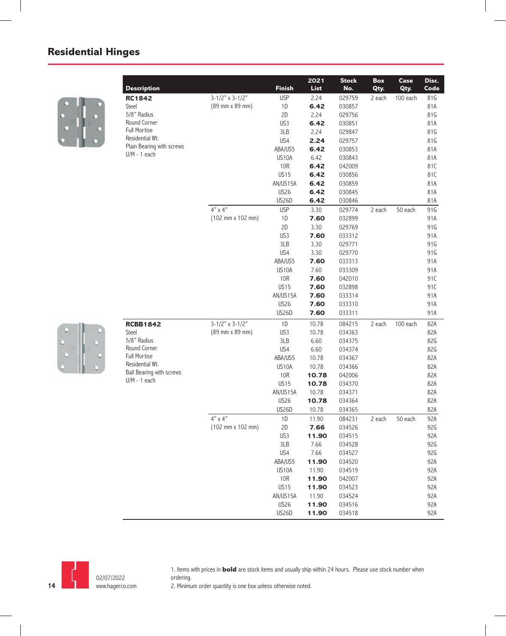

|                                                                                                                                                                                                                                                                                                                                                                                                                                                                                                                                                                                                                                                                                                                                                                                                                                                                                                                                                                                                                                                                                                                                                                                                                                                                                                                             |             | 2022  | <b>Stock</b> | Box                                                                           | Case    | Disc. |
|-----------------------------------------------------------------------------------------------------------------------------------------------------------------------------------------------------------------------------------------------------------------------------------------------------------------------------------------------------------------------------------------------------------------------------------------------------------------------------------------------------------------------------------------------------------------------------------------------------------------------------------------------------------------------------------------------------------------------------------------------------------------------------------------------------------------------------------------------------------------------------------------------------------------------------------------------------------------------------------------------------------------------------------------------------------------------------------------------------------------------------------------------------------------------------------------------------------------------------------------------------------------------------------------------------------------------------|-------------|-------|--------------|-------------------------------------------------------------------------------|---------|-------|
|                                                                                                                                                                                                                                                                                                                                                                                                                                                                                                                                                                                                                                                                                                                                                                                                                                                                                                                                                                                                                                                                                                                                                                                                                                                                                                                             |             |       | No.          |                                                                               |         | Code  |
| <b>RC1842</b>                                                                                                                                                                                                                                                                                                                                                                                                                                                                                                                                                                                                                                                                                                                                                                                                                                                                                                                                                                                                                                                                                                                                                                                                                                                                                                               |             |       | 029759       |                                                                               |         | 81G   |
|                                                                                                                                                                                                                                                                                                                                                                                                                                                                                                                                                                                                                                                                                                                                                                                                                                                                                                                                                                                                                                                                                                                                                                                                                                                                                                                             |             |       | 030857       |                                                                               |         | 81A   |
|                                                                                                                                                                                                                                                                                                                                                                                                                                                                                                                                                                                                                                                                                                                                                                                                                                                                                                                                                                                                                                                                                                                                                                                                                                                                                                                             |             |       | 029756       |                                                                               |         | 81G   |
|                                                                                                                                                                                                                                                                                                                                                                                                                                                                                                                                                                                                                                                                                                                                                                                                                                                                                                                                                                                                                                                                                                                                                                                                                                                                                                                             |             |       | 030851       |                                                                               |         | 81A   |
|                                                                                                                                                                                                                                                                                                                                                                                                                                                                                                                                                                                                                                                                                                                                                                                                                                                                                                                                                                                                                                                                                                                                                                                                                                                                                                                             |             |       | 029847       |                                                                               |         | 81G   |
|                                                                                                                                                                                                                                                                                                                                                                                                                                                                                                                                                                                                                                                                                                                                                                                                                                                                                                                                                                                                                                                                                                                                                                                                                                                                                                                             |             |       | 029757       |                                                                               |         | 81G   |
|                                                                                                                                                                                                                                                                                                                                                                                                                                                                                                                                                                                                                                                                                                                                                                                                                                                                                                                                                                                                                                                                                                                                                                                                                                                                                                                             |             |       | 030853       |                                                                               |         | 81A   |
| <b>Finish</b><br>List<br><b>Description</b><br>$3-1/2"$ x 3-1/2"<br><b>USP</b><br>2.24<br>(89 mm x 89 mm)<br>$1\,\mathrm{D}$<br>6.42<br>Steel<br>5/8" Radius<br>2D<br>2.24<br>Round Corner<br>US3<br>6.42<br><b>Full Mortise</b><br>3LB<br>2.24<br>Residential Wt.<br>US4<br>2.24<br>Plain Bearing with screws<br>ABA/US5<br>6.42<br>$U/M - 1$ each<br>US10A<br>6.42<br>10R<br>6.42<br><b>US15</b><br>6.42<br>AN/US15A<br>6.42<br><b>US26</b><br>6.42<br>US26D<br>6.42<br>$4"$ x $4"$<br><b>USP</b><br>3.30<br>(102 mm x 102 mm)<br>1D<br>7.60<br>2D<br>3.30<br>US3<br>7.60<br>3LB<br>3.30<br>US4<br>3.30<br>ABA/US5<br>7.60<br>US10A<br>7.60<br>10R<br>7.60<br><b>US15</b><br>7.60<br>7.60<br>AN/US15A<br><b>US26</b><br>7.60<br>US26D<br>7.60<br>$3-1/2"$ x $3-1/2"$<br>1D<br>10.78<br><b>RCBB1842</b><br>(89 mm x 89 mm)<br>US3<br>10.78<br>Steel<br>5/8" Radius<br>3LB<br>6.60<br>Round Corner<br>US4<br>6.60<br><b>Full Mortise</b><br>ABA/US5<br>10.78<br>Residential Wt.<br>US10A<br>10.78<br>Ball Bearing with screws<br>10R<br>10.78<br>$U/M - 1$ each<br><b>US15</b><br>10.78<br>AN/US15A<br>10.78<br><b>US26</b><br>10.78<br><b>US26D</b><br>10.78<br>$4"$ x $4"$<br>1D<br>11.90<br>2D<br>$(102 \, \text{mm} \times 102 \, \text{mm})$<br>7.66<br>US3<br>11.90<br>3LB<br>7.66<br>US4<br>7.66<br>ABA/US5<br>11.90 | 030843      |       |              | 81A                                                                           |         |       |
|                                                                                                                                                                                                                                                                                                                                                                                                                                                                                                                                                                                                                                                                                                                                                                                                                                                                                                                                                                                                                                                                                                                                                                                                                                                                                                                             | 042009      |       |              | 81C                                                                           |         |       |
|                                                                                                                                                                                                                                                                                                                                                                                                                                                                                                                                                                                                                                                                                                                                                                                                                                                                                                                                                                                                                                                                                                                                                                                                                                                                                                                             |             |       | 030856       |                                                                               |         | 81C   |
|                                                                                                                                                                                                                                                                                                                                                                                                                                                                                                                                                                                                                                                                                                                                                                                                                                                                                                                                                                                                                                                                                                                                                                                                                                                                                                                             |             |       | 030859       |                                                                               |         | 81A   |
|                                                                                                                                                                                                                                                                                                                                                                                                                                                                                                                                                                                                                                                                                                                                                                                                                                                                                                                                                                                                                                                                                                                                                                                                                                                                                                                             |             |       | 030845       |                                                                               |         | 81A   |
|                                                                                                                                                                                                                                                                                                                                                                                                                                                                                                                                                                                                                                                                                                                                                                                                                                                                                                                                                                                                                                                                                                                                                                                                                                                                                                                             |             |       | 030846       |                                                                               |         | 81A   |
|                                                                                                                                                                                                                                                                                                                                                                                                                                                                                                                                                                                                                                                                                                                                                                                                                                                                                                                                                                                                                                                                                                                                                                                                                                                                                                                             |             |       | 029774       | 2 each                                                                        | 50 each | 91G   |
|                                                                                                                                                                                                                                                                                                                                                                                                                                                                                                                                                                                                                                                                                                                                                                                                                                                                                                                                                                                                                                                                                                                                                                                                                                                                                                                             |             |       | 032899       |                                                                               |         | 91A   |
|                                                                                                                                                                                                                                                                                                                                                                                                                                                                                                                                                                                                                                                                                                                                                                                                                                                                                                                                                                                                                                                                                                                                                                                                                                                                                                                             |             |       | 029769       |                                                                               |         | 91G   |
|                                                                                                                                                                                                                                                                                                                                                                                                                                                                                                                                                                                                                                                                                                                                                                                                                                                                                                                                                                                                                                                                                                                                                                                                                                                                                                                             |             |       | 033312       |                                                                               |         | 91A   |
|                                                                                                                                                                                                                                                                                                                                                                                                                                                                                                                                                                                                                                                                                                                                                                                                                                                                                                                                                                                                                                                                                                                                                                                                                                                                                                                             |             |       | 029771       |                                                                               |         | 91G   |
|                                                                                                                                                                                                                                                                                                                                                                                                                                                                                                                                                                                                                                                                                                                                                                                                                                                                                                                                                                                                                                                                                                                                                                                                                                                                                                                             |             |       | 029770       |                                                                               |         | 91G   |
|                                                                                                                                                                                                                                                                                                                                                                                                                                                                                                                                                                                                                                                                                                                                                                                                                                                                                                                                                                                                                                                                                                                                                                                                                                                                                                                             |             |       | 033313       | Qty.<br>Qty.<br>2 each<br>100 each<br>2 each<br>100 each<br>2 each<br>50 each | 91A     |       |
|                                                                                                                                                                                                                                                                                                                                                                                                                                                                                                                                                                                                                                                                                                                                                                                                                                                                                                                                                                                                                                                                                                                                                                                                                                                                                                                             |             |       | 033309       |                                                                               |         | 91A   |
|                                                                                                                                                                                                                                                                                                                                                                                                                                                                                                                                                                                                                                                                                                                                                                                                                                                                                                                                                                                                                                                                                                                                                                                                                                                                                                                             |             |       | 042010       |                                                                               |         | 91C   |
|                                                                                                                                                                                                                                                                                                                                                                                                                                                                                                                                                                                                                                                                                                                                                                                                                                                                                                                                                                                                                                                                                                                                                                                                                                                                                                                             |             |       | 032898       |                                                                               |         | 91C   |
|                                                                                                                                                                                                                                                                                                                                                                                                                                                                                                                                                                                                                                                                                                                                                                                                                                                                                                                                                                                                                                                                                                                                                                                                                                                                                                                             |             |       | 033314       |                                                                               |         | 91A   |
|                                                                                                                                                                                                                                                                                                                                                                                                                                                                                                                                                                                                                                                                                                                                                                                                                                                                                                                                                                                                                                                                                                                                                                                                                                                                                                                             |             |       | 033310       |                                                                               |         | 91A   |
|                                                                                                                                                                                                                                                                                                                                                                                                                                                                                                                                                                                                                                                                                                                                                                                                                                                                                                                                                                                                                                                                                                                                                                                                                                                                                                                             |             |       | 033311       |                                                                               |         | 91A   |
|                                                                                                                                                                                                                                                                                                                                                                                                                                                                                                                                                                                                                                                                                                                                                                                                                                                                                                                                                                                                                                                                                                                                                                                                                                                                                                                             |             |       | 084215       |                                                                               |         | 82A   |
|                                                                                                                                                                                                                                                                                                                                                                                                                                                                                                                                                                                                                                                                                                                                                                                                                                                                                                                                                                                                                                                                                                                                                                                                                                                                                                                             |             |       | 034363       |                                                                               |         | 82A   |
|                                                                                                                                                                                                                                                                                                                                                                                                                                                                                                                                                                                                                                                                                                                                                                                                                                                                                                                                                                                                                                                                                                                                                                                                                                                                                                                             |             |       | 034375       |                                                                               |         | 82G   |
|                                                                                                                                                                                                                                                                                                                                                                                                                                                                                                                                                                                                                                                                                                                                                                                                                                                                                                                                                                                                                                                                                                                                                                                                                                                                                                                             |             |       | 034374       |                                                                               |         | 82G   |
|                                                                                                                                                                                                                                                                                                                                                                                                                                                                                                                                                                                                                                                                                                                                                                                                                                                                                                                                                                                                                                                                                                                                                                                                                                                                                                                             |             |       | 034367       |                                                                               |         | 82A   |
|                                                                                                                                                                                                                                                                                                                                                                                                                                                                                                                                                                                                                                                                                                                                                                                                                                                                                                                                                                                                                                                                                                                                                                                                                                                                                                                             |             |       | 034366       |                                                                               |         | 82A   |
|                                                                                                                                                                                                                                                                                                                                                                                                                                                                                                                                                                                                                                                                                                                                                                                                                                                                                                                                                                                                                                                                                                                                                                                                                                                                                                                             |             |       | 042006       |                                                                               |         | 82A   |
|                                                                                                                                                                                                                                                                                                                                                                                                                                                                                                                                                                                                                                                                                                                                                                                                                                                                                                                                                                                                                                                                                                                                                                                                                                                                                                                             |             |       | 034370       |                                                                               |         | 82A   |
|                                                                                                                                                                                                                                                                                                                                                                                                                                                                                                                                                                                                                                                                                                                                                                                                                                                                                                                                                                                                                                                                                                                                                                                                                                                                                                                             |             |       | 034371       |                                                                               |         | 82A   |
|                                                                                                                                                                                                                                                                                                                                                                                                                                                                                                                                                                                                                                                                                                                                                                                                                                                                                                                                                                                                                                                                                                                                                                                                                                                                                                                             |             |       | 034364       |                                                                               |         | 82A   |
|                                                                                                                                                                                                                                                                                                                                                                                                                                                                                                                                                                                                                                                                                                                                                                                                                                                                                                                                                                                                                                                                                                                                                                                                                                                                                                                             |             |       | 034365       |                                                                               |         | 82A   |
|                                                                                                                                                                                                                                                                                                                                                                                                                                                                                                                                                                                                                                                                                                                                                                                                                                                                                                                                                                                                                                                                                                                                                                                                                                                                                                                             |             |       | 084231       |                                                                               |         | 92A   |
|                                                                                                                                                                                                                                                                                                                                                                                                                                                                                                                                                                                                                                                                                                                                                                                                                                                                                                                                                                                                                                                                                                                                                                                                                                                                                                                             |             |       | 034526       |                                                                               |         | 92G   |
|                                                                                                                                                                                                                                                                                                                                                                                                                                                                                                                                                                                                                                                                                                                                                                                                                                                                                                                                                                                                                                                                                                                                                                                                                                                                                                                             |             |       | 034515       |                                                                               |         | 92A   |
|                                                                                                                                                                                                                                                                                                                                                                                                                                                                                                                                                                                                                                                                                                                                                                                                                                                                                                                                                                                                                                                                                                                                                                                                                                                                                                                             |             |       | 034528       |                                                                               |         | 92G   |
|                                                                                                                                                                                                                                                                                                                                                                                                                                                                                                                                                                                                                                                                                                                                                                                                                                                                                                                                                                                                                                                                                                                                                                                                                                                                                                                             |             |       | 034527       |                                                                               |         | 92G   |
|                                                                                                                                                                                                                                                                                                                                                                                                                                                                                                                                                                                                                                                                                                                                                                                                                                                                                                                                                                                                                                                                                                                                                                                                                                                                                                                             |             |       | 034520       |                                                                               |         | 92A   |
|                                                                                                                                                                                                                                                                                                                                                                                                                                                                                                                                                                                                                                                                                                                                                                                                                                                                                                                                                                                                                                                                                                                                                                                                                                                                                                                             | US10A       | 11.90 | 034519       |                                                                               |         | 92A   |
|                                                                                                                                                                                                                                                                                                                                                                                                                                                                                                                                                                                                                                                                                                                                                                                                                                                                                                                                                                                                                                                                                                                                                                                                                                                                                                                             | <b>10R</b>  | 11.90 | 042007       |                                                                               |         | 92A   |
|                                                                                                                                                                                                                                                                                                                                                                                                                                                                                                                                                                                                                                                                                                                                                                                                                                                                                                                                                                                                                                                                                                                                                                                                                                                                                                                             | <b>US15</b> | 11.90 | 034523       |                                                                               |         | 92A   |
|                                                                                                                                                                                                                                                                                                                                                                                                                                                                                                                                                                                                                                                                                                                                                                                                                                                                                                                                                                                                                                                                                                                                                                                                                                                                                                                             | AN/US15A    | 11.90 |              |                                                                               |         | 92A   |
|                                                                                                                                                                                                                                                                                                                                                                                                                                                                                                                                                                                                                                                                                                                                                                                                                                                                                                                                                                                                                                                                                                                                                                                                                                                                                                                             |             |       | 034524       |                                                                               |         |       |
|                                                                                                                                                                                                                                                                                                                                                                                                                                                                                                                                                                                                                                                                                                                                                                                                                                                                                                                                                                                                                                                                                                                                                                                                                                                                                                                             | <b>US26</b> | 11.90 | 034516       |                                                                               |         | 92A   |
|                                                                                                                                                                                                                                                                                                                                                                                                                                                                                                                                                                                                                                                                                                                                                                                                                                                                                                                                                                                                                                                                                                                                                                                                                                                                                                                             | US26D       | 11.90 | 034518       |                                                                               |         | 92A   |





1. Items with prices in **bold** are stock items and usually ship within 24 hours. Please use stock number when ordering.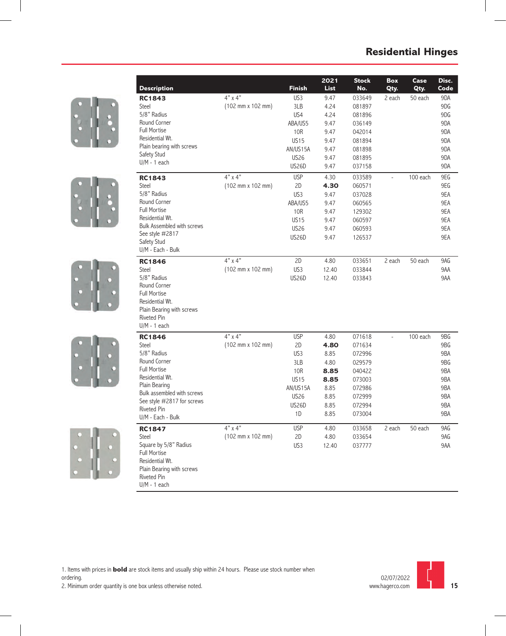









|                                  |                                              |                 | 2022        | <b>Stock</b> | Box           | Case     | Disc. |
|----------------------------------|----------------------------------------------|-----------------|-------------|--------------|---------------|----------|-------|
| <b>Description</b>               |                                              | <b>Finish</b>   | <b>List</b> | No.          | Qty.          | Qty.     | Code  |
| <b>RC1843</b>                    | 4" x 4"                                      | US <sub>3</sub> | 9.47        | 033649       | 2 each        | 50 each  | 9DA   |
| Steel                            | $(102 \, \text{mm} \times 102 \, \text{mm})$ | 3LB             | 4.24        | 081897       |               |          | 9DG   |
| 5/8" Radius                      |                                              | US4             | 4.24        | 081896       |               |          | 9DG   |
| Round Corner                     |                                              | ABA/US5         | 9.47        | 036149       |               |          | 9DA   |
| <b>Full Mortise</b>              |                                              | 10R             | 9.47        | 042014       |               |          | 9DA   |
| Residential Wt.                  |                                              | <b>US15</b>     | 9.47        | 081894       |               |          | 9DA   |
| Plain bearing with screws        |                                              | AN/US15A        | 9.47        | 081898       |               |          | 9DA   |
| Safety Stud                      |                                              | <b>US26</b>     | 9.47        | 081895       |               |          | 9DA   |
| $U/M - 1$ each                   |                                              | <b>US26D</b>    | 9.47        | 037158       |               |          | 9DA   |
| <b>RC1843</b>                    | $4" \times 4"$                               | <b>USP</b>      | 4.30        | 033589       | $\frac{1}{2}$ | 100 each | 9EG   |
| Steel                            | $(102 \, \text{mm} \times 102 \, \text{mm})$ | 2D              | 4.30        | 060571       |               |          | 9EG   |
| 5/8" Radius                      |                                              | US3             | 9.47        | 037028       |               |          | 9EA   |
| Round Corner                     |                                              | ABA/US5         | 9.47        | 060565       |               |          | 9EA   |
| <b>Full Mortise</b>              |                                              | 10R             | 9.47        | 129302       |               |          | 9EA   |
| Residential Wt.                  |                                              | <b>US15</b>     | 9.47        | 060597       |               |          | 9EA   |
| Bulk Assembled with screws       |                                              | <b>US26</b>     | 9.47        | 060593       |               |          | 9EA   |
| See style #2817                  |                                              | <b>US26D</b>    | 9.47        | 126537       |               |          | 9EA   |
| Safety Stud<br>U/M - Each - Bulk |                                              |                 |             |              |               |          |       |
| <b>RC1846</b>                    | $4" \times 4"$                               | 2D              | 4.80        | 033651       | 2 each        | 50 each  | 9AG   |
| Steel                            | $(102 \, \text{mm} \times 102 \, \text{mm})$ | US3             | 12.40       | 033844       |               |          | 9AA   |
| 5/8" Radius                      |                                              | <b>US26D</b>    | 12.40       | 033843       |               |          | 9AA   |
| Round Corner                     |                                              |                 |             |              |               |          |       |
| <b>Full Mortise</b>              |                                              |                 |             |              |               |          |       |
| Residential Wt.                  |                                              |                 |             |              |               |          |       |
| Plain Bearing with screws        |                                              |                 |             |              |               |          |       |
| <b>Riveted Pin</b>               |                                              |                 |             |              |               |          |       |
| $U/M - 1$ each                   |                                              |                 |             |              |               |          |       |
| <b>RC1846</b>                    | $4" \times 4"$                               | <b>USP</b>      | 4.80        | 071618       | $\frac{1}{2}$ | 100 each | 9BG   |
| <b>Steel</b>                     | (102 mm x 102 mm)                            | 2D              | 4.80        | 071634       |               |          | 9BG   |
| 5/8" Radius                      |                                              | US <sub>3</sub> | 8.85        | 072996       |               |          | 9BA   |
| Round Corner                     |                                              | 3LB             | 4.80        | 029579       |               |          | 9BG   |
| Full Mortise                     |                                              | 10R             | 8.85        | 040422       |               |          | 9BA   |
| Residential Wt.                  |                                              | <b>US15</b>     | 8.85        | 073003       |               |          | 9BA   |
| Plain Bearing                    |                                              | AN/US15A        | 8.85        | 072986       |               |          | 9BA   |
| Bulk assembled with screws       |                                              | <b>US26</b>     | 8.85        | 072999       |               |          | 9BA   |
| See style #2817 for screws       |                                              | <b>US26D</b>    | 8.85        | 072994       |               |          | 9BA   |
| Riveted Pin<br>U/M - Each - Bulk |                                              | 1D              | 8.85        | 073004       |               |          | 9BA   |
| <b>RC1847</b>                    | $4"$ x $4"$                                  | <b>USP</b>      | 4.80        | 033658       | 2 each        | 50 each  | 9AG   |
| Steel                            | (102 mm x 102 mm)                            | 2D              | 4.80        | 033654       |               |          | 9AG   |
| Square by 5/8" Radius            |                                              | US3             | 12.40       | 037777       |               |          | 9AA   |
| <b>Full Mortise</b>              |                                              |                 |             |              |               |          |       |
| Residential Wt.                  |                                              |                 |             |              |               |          |       |
| Plain Bearing with screws        |                                              |                 |             |              |               |          |       |
| <b>Riveted Pin</b>               |                                              |                 |             |              |               |          |       |
| $U/M - 1$ each                   |                                              |                 |             |              |               |          |       |

1. Items with prices in **bold** are stock items and usually ship within 24 hours. Please use stock number when ordering.



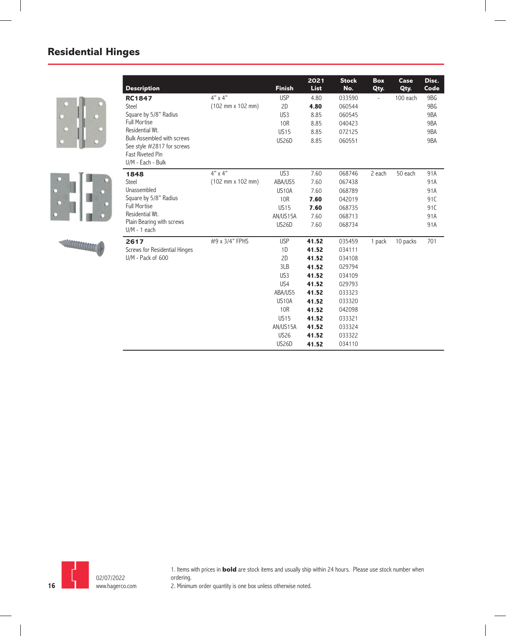



**MACACACACACAC** 





1. Items with prices in **bold** are stock items and usually ship within 24 hours. Please use stock number when ordering. 2. Minimum order quantity is one box unless otherwise noted.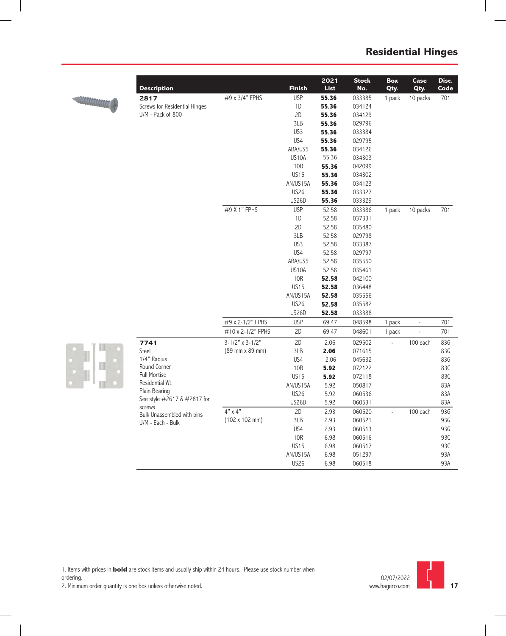

| <b>Description</b>                   |                   | <b>Finish</b> | 2022<br><b>List</b> | <b>Stock</b><br>No. | Box<br>Qty.    | Case<br>Qty.   | Disc.<br>Code |
|--------------------------------------|-------------------|---------------|---------------------|---------------------|----------------|----------------|---------------|
| 2817                                 | #9 x 3/4" FPHS    | <b>USP</b>    | 55.36               | 033385              | 1 pack         | 10 packs       | 701           |
| Screws for Residential Hinges        |                   | 1D            | 55.36               | 034124              |                |                |               |
| U/M - Pack of 800                    |                   | 2D            | 55.36               | 034129              |                |                |               |
|                                      |                   | 3LB           | 55.36               | 029796              |                |                |               |
|                                      |                   | US3           | 55.36               | 033384              |                |                |               |
|                                      |                   | US4           | 55.36               | 029795              |                |                |               |
|                                      |                   | ABA/US5       | 55.36               | 034126              |                |                |               |
|                                      |                   | US10A         | 55.36               | 034303              |                |                |               |
|                                      |                   | 10R           | 55.36               | 042099              |                |                |               |
|                                      |                   | <b>US15</b>   | 55.36               | 034302              |                |                |               |
|                                      |                   | AN/US15A      | 55.36               | 034123              |                |                |               |
|                                      |                   | <b>US26</b>   | 55.36               | 033327              |                |                |               |
|                                      |                   | <b>US26D</b>  | 55.36               | 033329              |                |                |               |
|                                      | #9 X 1" FPHS      | <b>USP</b>    | 52.58               | 033386              | 1 pack         | 10 packs       | 701           |
|                                      |                   | 1D            | 52.58               | 037331              |                |                |               |
|                                      |                   | 2D            | 52.58               | 035480              |                |                |               |
|                                      |                   | 3LB           | 52.58               | 029798              |                |                |               |
|                                      |                   | US3           | 52.58               | 033387              |                |                |               |
|                                      |                   | US4           | 52.58               | 029797              |                |                |               |
|                                      |                   | ABA/US5       | 52.58               | 035550              |                |                |               |
|                                      |                   | US10A         | 52.58               | 035461              |                |                |               |
|                                      |                   | <b>10R</b>    | 52.58               | 042100              |                |                |               |
|                                      |                   | <b>US15</b>   | 52.58               | 036448              |                |                |               |
|                                      |                   | AN/US15A      | 52.58               | 035556              |                |                |               |
|                                      |                   | <b>US26</b>   | 52.58               | 035582              |                |                |               |
|                                      |                   | <b>US26D</b>  | 52.58               | 033388              |                |                |               |
|                                      | #9 x 2-1/2" FPHS  | <b>USP</b>    | 69.47               | 048598              | 1 pack         | $\overline{a}$ | 701           |
|                                      | #10 x 2-1/2" FPHS | 2D            | 69.47               | 048601              | 1 pack         | $\overline{a}$ | 701           |
| 7741                                 | $3-1/2"$ x 3-1/2" | 2D            | 2.06                | 029502              |                | 100 each       | 83G           |
| Steel                                | (89 mm x 89 mm)   | 3LB           | 2.06                | 071615              |                |                | 83G           |
| 1/4" Radius                          |                   | US4           | 2.06                | 045632              |                |                | 83G           |
| Round Corner                         |                   | 10R           | 5.92                | 072122              |                |                | 83C           |
| <b>Full Mortise</b>                  |                   | <b>US15</b>   | 5.92                | 072118              |                |                | 83C           |
| Residential Wt.                      |                   | AN/US15A      | 5.92                | 050817              |                |                | 83A           |
| Plain Bearing                        |                   | <b>US26</b>   | 5.92                | 060536              |                |                | 83A           |
| See style #2617 & #2817 for          |                   | <b>US26D</b>  | 5.92                | 060531              |                |                | 83A           |
| screws<br>Bulk Unassembled with pins | $4" \times 4"$    | 2D            | 2.93                | 060520              | $\overline{a}$ | 100 each       | 93G           |
| U/M - Each - Bulk                    | (102 x 102 mm)    | 3LB           | 2.93                | 060521              |                |                | 93G           |
|                                      |                   | US4           | 2.93                | 060513              |                |                | 93G           |
|                                      |                   | <b>10R</b>    | 6.98                | 060516              |                |                | 93C           |
|                                      |                   | <b>US15</b>   | 6.98                | 060517              |                |                | 93C           |
|                                      |                   | AN/US15A      | 6.98                | 051297              |                |                | 93A           |
|                                      |                   | <b>US26</b>   | 6.98                | 060518              |                |                | 93A           |



1. Items with prices in **bold** are stock items and usually ship within 24 hours. Please use stock number when

ordering.

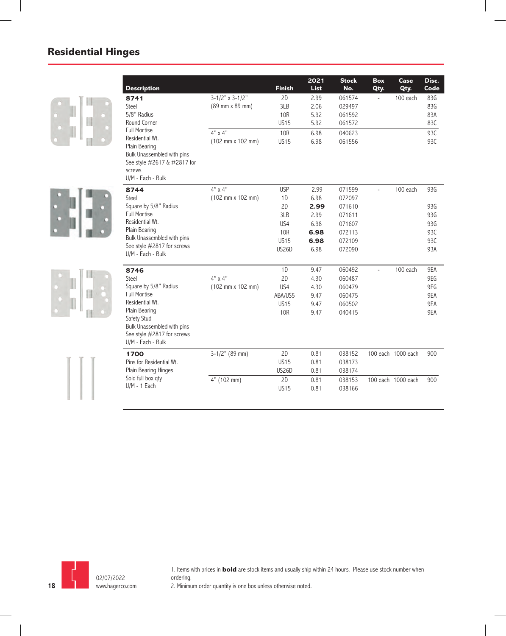|   | <b>Description</b>                          |                   | <b>Finish</b> | 2022<br><b>List</b> | <b>Stock</b><br>No. | <b>Box</b><br>Qty.       | Case<br>Qty.       | Disc.<br>Code |
|---|---------------------------------------------|-------------------|---------------|---------------------|---------------------|--------------------------|--------------------|---------------|
| Ш | 8741                                        | $3-1/2"$ x 3-1/2" | 2D            | 2.99                | 061574              | $\overline{\phantom{a}}$ | 100 each           | 83G           |
|   | Steel                                       | (89 mm x 89 mm)   | 3LB           | 2.06                | 029497              |                          |                    | 83G           |
|   | 5/8" Radius                                 |                   | <b>10R</b>    | 5.92                | 061592              |                          |                    | 83A           |
|   | Round Corner                                |                   | <b>US15</b>   | 5.92                | 061572              |                          |                    | 83C           |
|   | <b>Full Mortise</b>                         | $4" \times 4"$    | <b>10R</b>    | 6.98                | 040623              |                          |                    | 93C           |
|   | Residential Wt.<br>Plain Bearing            | (102 mm x 102 mm) | <b>US15</b>   | 6.98                | 061556              |                          |                    | 93C           |
|   | Bulk Unassembled with pins                  |                   |               |                     |                     |                          |                    |               |
|   | See style #2617 & #2817 for                 |                   |               |                     |                     |                          |                    |               |
|   | screws                                      |                   |               |                     |                     |                          |                    |               |
|   | U/M - Each - Bulk                           |                   |               |                     |                     |                          |                    |               |
|   | 8744                                        | $4" \times 4"$    | <b>USP</b>    | 2.99                | 071599              |                          | 100 each           | 93G           |
|   | Steel                                       | (102 mm x 102 mm) | 1D            | 6.98                | 072097              |                          |                    |               |
|   | Square by 5/8" Radius                       |                   | 2D            | 2.99                | 071610              |                          |                    | 93G           |
|   | <b>Full Mortise</b>                         |                   | 3LB           | 2.99                | 071611              |                          |                    | 93G           |
|   | Residential Wt.                             |                   | US4           | 6.98                | 071607              |                          |                    | 93G           |
|   | Plain Bearing<br>Bulk Unassembled with pins |                   | <b>10R</b>    | 6.98                | 072113              |                          |                    | 93C           |
|   | See style #2817 for screws                  |                   | <b>US15</b>   | 6.98                | 072109              |                          |                    | 93C           |
|   | U/M - Each - Bulk                           |                   | <b>US26D</b>  | 6.98                | 072090              |                          |                    | 93A           |
|   | 8746                                        |                   | 1D            | 9.47                | 060492              | $\overline{\phantom{a}}$ | 100 each           | 9EA           |
|   | Steel                                       | $4"$ x $4"$       | 2D            | 4.30                | 060487              |                          |                    | 9EG           |
|   | Square by 5/8" Radius                       | (102 mm x 102 mm) | US4           | 4.30                | 060479              |                          |                    | 9EG           |
|   | <b>Full Mortise</b>                         |                   | ABA/US5       | 9.47                | 060475              |                          |                    | 9EA           |
|   | Residential Wt.                             |                   | <b>US15</b>   | 9.47                | 060502              |                          |                    | 9EA           |
|   | Plain Bearing                               |                   | <b>10R</b>    | 9.47                | 040415              |                          |                    | 9EA           |
|   | Safety Stud<br>Bulk Unassembled with pins   |                   |               |                     |                     |                          |                    |               |
|   | See style #2817 for screws                  |                   |               |                     |                     |                          |                    |               |
|   | U/M - Each - Bulk                           |                   |               |                     |                     |                          |                    |               |
|   | 1700                                        | $3-1/2"$ (89 mm)  | 2D            | 0.81                | 038152              |                          | 100 each 1000 each | 900           |
|   | Pins for Residential Wt.                    |                   | <b>US15</b>   | 0.81                | 038173              |                          |                    |               |
|   | Plain Bearing Hinges                        |                   | <b>US26D</b>  | 0.81                | 038174              |                          |                    |               |
|   | Sold full box qty                           | 4" (102 mm)       | 2D            | 0.81                | 038153              |                          | 100 each 1000 each | 900           |
|   | $U/M - 1$ Each                              |                   | <b>US15</b>   | 0.81                | 038166              |                          |                    |               |
|   |                                             |                   |               |                     |                     |                          |                    |               |



1. Items with prices in **bold** are stock items and usually ship within 24 hours. Please use stock number when ordering.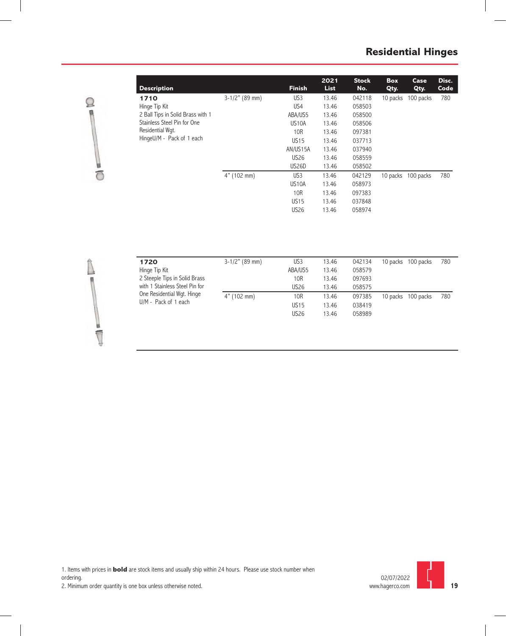

| Description                                   |                  | <b>Finish</b>      | 2022<br><b>List</b> | <b>Stock</b><br>No. | <b>Box</b><br>Qty. | Case<br>Qty. | Disc.<br>Code |  |
|-----------------------------------------------|------------------|--------------------|---------------------|---------------------|--------------------|--------------|---------------|--|
| 1710                                          | $3-1/2"$ (89 mm) | US3                | 13.46               | 042118              | 10 packs           | 100 packs    | 780           |  |
| Hinge Tip Kit                                 |                  | US4                | 13.46               | 058503              |                    |              |               |  |
| 2 Ball Tips in Solid Brass with 1             |                  | ABA/US5            | 13.46               | 058500              |                    |              |               |  |
| Stainless Steel Pin for One                   |                  | US <sub>10</sub> A | 13.46               | 058506              |                    |              |               |  |
| Residential Wqt.<br>HingeU/M - Pack of 1 each |                  | 10R                | 13.46               | 097381              |                    |              |               |  |
|                                               |                  | <b>US15</b>        | 13.46               | 037713              |                    |              |               |  |
|                                               |                  | AN/US15A           | 13.46               | 037940              |                    |              |               |  |
|                                               |                  | <b>US26</b>        | 13.46               | 058559              |                    |              |               |  |
|                                               |                  | US26D              | 13.46               | 058502              |                    |              |               |  |
|                                               | $4"$ (102 mm)    | US <sub>3</sub>    | 13.46               | 042129              | 10 packs           | 100 packs    | 780           |  |
|                                               |                  | US <sub>10</sub> A | 13.46               | 058973              |                    |              |               |  |
|                                               |                  | 10R                | 13.46               | 097383              |                    |              |               |  |
|                                               |                  | <b>US15</b>        | 13.46               | 037848              |                    |              |               |  |
|                                               |                  | <b>US26</b>        | 13.46               | 058974              |                    |              |               |  |

| ٠ |  |
|---|--|
|   |  |
|   |  |
|   |  |
|   |  |

| 1720                           | $3-1/2"$ (89 mm) | US <sub>3</sub> | 13.46 | 042134 | 10 packs 100 packs | 780 |
|--------------------------------|------------------|-----------------|-------|--------|--------------------|-----|
| Hinge Tip Kit                  |                  | ABA/US5         | 13.46 | 058579 |                    |     |
| 2 Steeple Tips in Solid Brass  |                  | 10R             | 13.46 | 097693 |                    |     |
| with 1 Stainless Steel Pin for |                  | <b>US26</b>     | 13.46 | 058575 |                    |     |
| One Residential Wgt. Hinge     | $4"$ (102 mm)    | 10R             | 13.46 | 097385 | 10 packs 100 packs | 780 |
| U/M - Pack of 1 each           |                  | <b>US15</b>     | 13.46 | 038419 |                    |     |
|                                |                  | <b>US26</b>     | 13.46 | 058989 |                    |     |
|                                |                  |                 |       |        |                    |     |

1. Items with prices in **bold** are stock items and usually ship within 24 hours. Please use stock number when ordering.

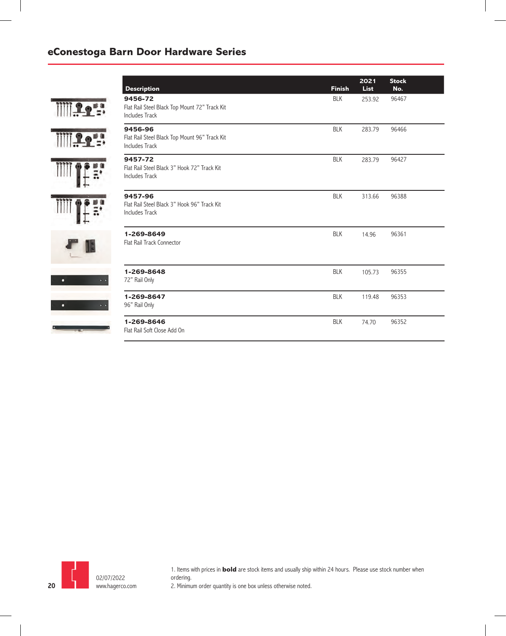#### **eConestoga Barn Door Hardware Series**

| <b>Description</b>                                                                | <b>Finish</b> | 2022<br><b>List</b> | <b>Stock</b><br>No. |
|-----------------------------------------------------------------------------------|---------------|---------------------|---------------------|
| 9456-72<br>Flat Rail Steel Black Top Mount 72" Track Kit<br><b>Includes Track</b> | <b>BLK</b>    | 253.92              | 96467               |
| 9456-96<br>Flat Rail Steel Black Top Mount 96" Track Kit<br><b>Includes Track</b> | <b>BLK</b>    | 283.79              | 96466               |
| 9457-72<br>Flat Rail Steel Black 3" Hook 72" Track Kit<br><b>Includes Track</b>   | <b>BLK</b>    | 283.79              | 96427               |
| 9457-96<br>Flat Rail Steel Black 3" Hook 96" Track Kit<br><b>Includes Track</b>   | <b>BLK</b>    | 313.66              | 96388               |
| 1-269-8649<br>Flat Rail Track Connector                                           | <b>BLK</b>    | 14.96               | 96361               |
| 1-269-8648<br>72" Rail Only                                                       | <b>BLK</b>    | 105.73              | 96355               |
| 1-269-8647<br>96" Rail Only                                                       | <b>BLK</b>    | 119.48              | 96353               |
| 1-269-8646<br>Flat Rail Soft Close Add On                                         | <b>BLK</b>    | 74.70               | 96352               |



1. Items with prices in **bold** are stock items and usually ship within 24 hours. Please use stock number when ordering. 2. Minimum order quantity is one box unless otherwise noted.